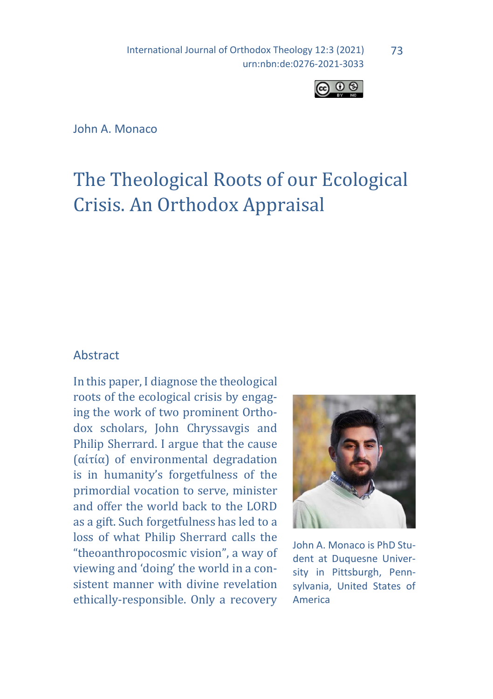International Journal of Orthodox Theology 12:3 (2021) urn:nbn:de:0276-2021-3033



John A. Monaco

# The Theological Roots of our Ecological Crisis. An Orthodox Appraisal

#### Abstract

In this paper, I diagnose the theological roots of the ecological crisis by engaging the work of two prominent Orthodox scholars, John Chryssavgis and Philip Sherrard. I argue that the cause (αἰτία) of environmental degradation is in humanity's forgetfulness of the primordial vocation to serve, minister and offer the world back to the LORD as a gift. Such forgetfulness has led to a loss of what Philip Sherrard calls the "theoanthropocosmic vision", a way of viewing and 'doing' the world in a consistent manner with divine revelation ethically-responsible. Only a recovery



John A. Monaco is PhD Student at Duquesne University in Pittsburgh, Pennsylvania, United States of America

73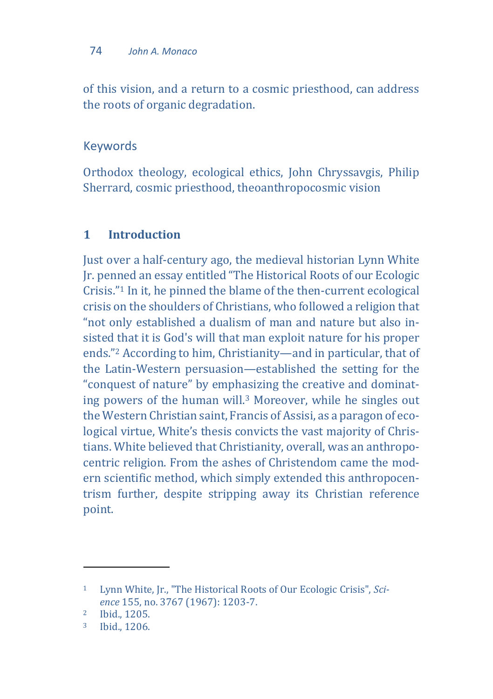of this vision, and a return to a cosmic priesthood, can address the roots of organic degradation.

## Keywords

Orthodox theology, ecological ethics, John Chryssavgis, Philip Sherrard, cosmic priesthood, theoanthropocosmic vision

## **1 Introduction**

Just over a half-century ago, the medieval historian Lynn White Jr. penned an essay entitled "The Historical Roots of our Ecologic Crisis."<sup>1</sup> In it, he pinned the blame of the then-current ecological crisis on the shoulders of Christians, who followed a religion that "not only established a dualism of man and nature but also insisted that it is God's will that man exploit nature for his proper ends."<sup>2</sup> According to him, Christianity—and in particular, that of the Latin-Western persuasion—established the setting for the "conquest of nature" by emphasizing the creative and dominating powers of the human will.<sup>3</sup> Moreover, while he singles out the Western Christian saint, Francis of Assisi, as a paragon of ecological virtue, White's thesis convicts the vast majority of Christians. White believed that Christianity, overall, was an anthropocentric religion. From the ashes of Christendom came the modern scientific method, which simply extended this anthropocentrism further, despite stripping away its Christian reference point.

 $\overline{\phantom{a}}$ 

<sup>1</sup> Lynn White, Jr., "The Historical Roots of Our Ecologic Crisis", *Science* 155, no. 3767 (1967): 1203-7.

<sup>2</sup> Ibid., 1205.

<sup>3</sup> Ibid., 1206.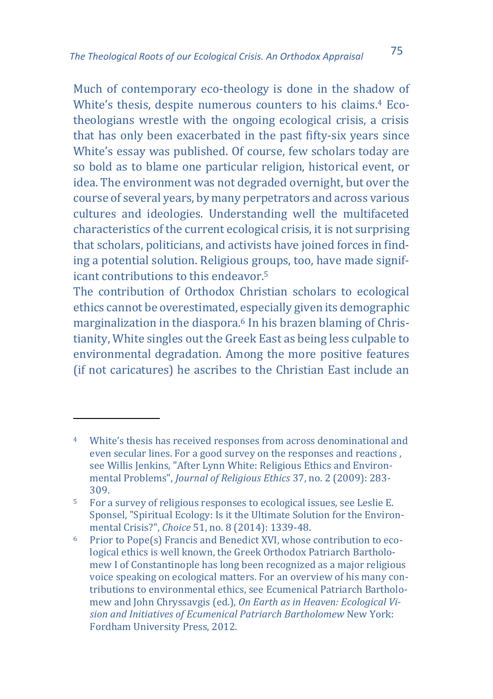Much of contemporary eco-theology is done in the shadow of White's thesis, despite numerous counters to his claims.<sup>4</sup> Ecotheologians wrestle with the ongoing ecological crisis, a crisis that has only been exacerbated in the past fifty-six years since White's essay was published. Of course, few scholars today are so bold as to blame one particular religion, historical event, or idea. The environment was not degraded overnight, but over the course of several years, by many perpetrators and across various cultures and ideologies. Understanding well the multifaceted characteristics of the current ecological crisis, it is not surprising that scholars, politicians, and activists have joined forces in finding a potential solution. Religious groups, too, have made significant contributions to this endeavor.<sup>5</sup>

The contribution of Orthodox Christian scholars to ecological ethics cannot be overestimated, especially given its demographic marginalization in the diaspora.<sup>6</sup> In his brazen blaming of Christianity, White singles out the Greek East as being less culpable to environmental degradation. Among the more positive features (if not caricatures) he ascribes to the Christian East include an

<sup>4</sup> White's thesis has received responses from across denominational and even secular lines. For a good survey on the responses and reactions , see Willis Jenkins, "After Lynn White: Religious Ethics and Environmental Problems", *Journal of Religious Ethics* 37, no. 2 (2009): 283- 309.

<sup>5</sup> For a survey of religious responses to ecological issues, see Leslie E. Sponsel, "Spiritual Ecology: Is it the Ultimate Solution for the Environmental Crisis?", *Choice* 51, no. 8 (2014): 1339-48.

<sup>6</sup> Prior to Pope(s) Francis and Benedict XVI, whose contribution to ecological ethics is well known, the Greek Orthodox Patriarch Bartholomew I of Constantinople has long been recognized as a major religious voice speaking on ecological matters. For an overview of his many contributions to environmental ethics, see Ecumenical Patriarch Bartholomew and John Chryssavgis (ed.), *On Earth as in Heaven: Ecological Vision and Initiatives of Ecumenical Patriarch Bartholomew* New York: Fordham University Press, 2012.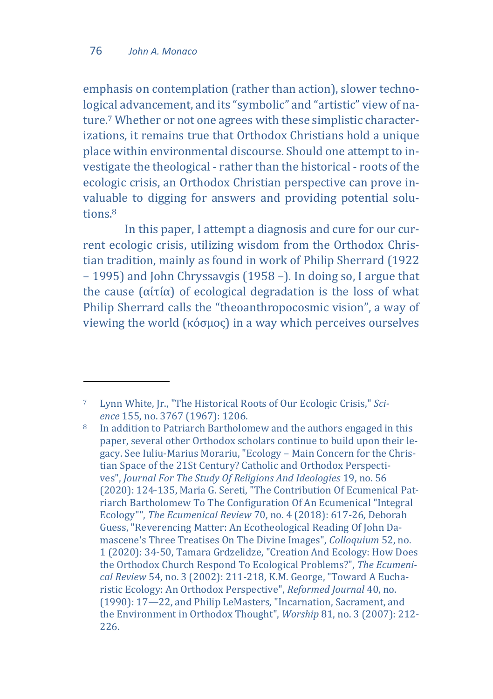$\overline{a}$ 

emphasis on contemplation (rather than action), slower technological advancement, and its "symbolic" and "artistic" view of nature.<sup>7</sup> Whether or not one agrees with these simplistic characterizations, it remains true that Orthodox Christians hold a unique place within environmental discourse. Should one attempt to investigate the theological - rather than the historical - roots of the ecologic crisis, an Orthodox Christian perspective can prove invaluable to digging for answers and providing potential solutions<sup>8</sup>

In this paper, I attempt a diagnosis and cure for our current ecologic crisis, utilizing wisdom from the Orthodox Christian tradition, mainly as found in work of Philip Sherrard (1922 – 1995) and John Chryssavgis (1958 –). In doing so, I argue that the cause  $(α*i*τ*i*α)$  of ecological degradation is the loss of what Philip Sherrard calls the "theoanthropocosmic vision", a way of viewing the world (κόσμος) in a way which perceives ourselves

<sup>7</sup> Lynn White, Jr., "The Historical Roots of Our Ecologic Crisis," *Science* 155, no. 3767 (1967): 1206.

<sup>8</sup> In addition to Patriarch Bartholomew and the authors engaged in this paper, several other Orthodox scholars continue to build upon their legacy. See Iuliu-Marius Morariu, "Ecology – Main Concern for the Christian Space of the 21St Century? Catholic and Orthodox Perspectives", *Journal For The Study Of Religions And Ideologies* 19, no. 56 (2020): 124-135, Maria G. Sereti, "The Contribution Of Ecumenical Patriarch Bartholomew To The Configuration Of An Ecumenical "Integral Ecology"", *The Ecumenical Review* 70, no. 4 (2018): 617-26, Deborah Guess, "Reverencing Matter: An Ecotheological Reading Of John Damascene's Three Treatises On The Divine Images", *Colloquium* 52, no. 1 (2020): 34-50, Tamara Grdzelidze, "Creation And Ecology: How Does the Orthodox Church Respond To Ecological Problems?", *The Ecumenical Review* 54, no. 3 (2002): 211-218, K.M. George, "Toward A Eucharistic Ecology: An Orthodox Perspective", *Reformed Journal* 40, no. (1990): 17—22, and Philip LeMasters, "Incarnation, Sacrament, and the Environment in Orthodox Thought", *Worship* 81, no. 3 (2007): 212- 226.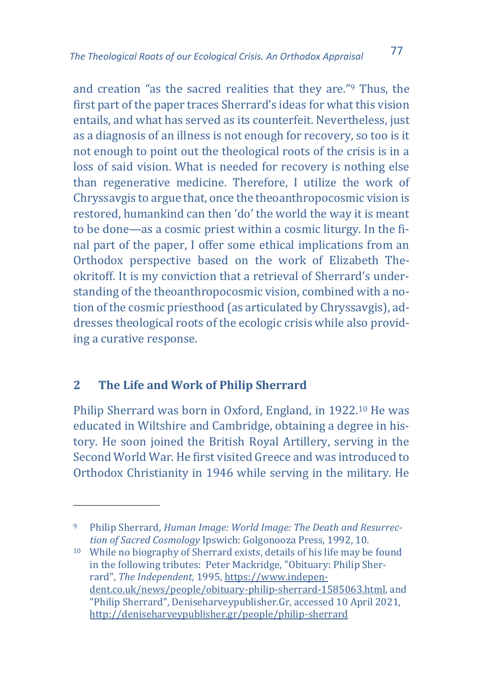and creation "as the sacred realities that they are."<sup>9</sup> Thus, the first part of the paper traces Sherrard's ideas for what this vision entails, and what has served as its counterfeit. Nevertheless, just as a diagnosis of an illness is not enough for recovery, so too is it not enough to point out the theological roots of the crisis is in a loss of said vision. What is needed for recovery is nothing else than regenerative medicine. Therefore, I utilize the work of Chryssavgis to argue that, once the theoanthropocosmic vision is restored, humankind can then 'do' the world the way it is meant to be done—as a cosmic priest within a cosmic liturgy. In the final part of the paper, I offer some ethical implications from an Orthodox perspective based on the work of Elizabeth Theokritoff. It is my conviction that a retrieval of Sherrard's understanding of the theoanthropocosmic vision, combined with a notion of the cosmic priesthood (as articulated by Chryssavgis), addresses theological roots of the ecologic crisis while also providing a curative response.

## **2 The Life and Work of Philip Sherrard**

 $\overline{a}$ 

Philip Sherrard was born in Oxford, England, in 1922.<sup>10</sup> He was educated in Wiltshire and Cambridge, obtaining a degree in history. He soon joined the British Royal Artillery, serving in the Second World War. He first visited Greece and was introduced to Orthodox Christianity in 1946 while serving in the military. He

<sup>9</sup> Philip Sherrard, *Human Image: World Image: The Death and Resurrection of Sacred Cosmology* Ipswich: Golgonooza Press, 1992, 10.

<sup>10</sup> While no biography of Sherrard exists, details of his life may be found in the following tributes: Peter Mackridge, "Obituary: Philip Sherrard", *The Independent*, 1995[, https://www.indepen](https://www.independent.co.uk/news/people/obituary-philip-sherrard-1585063.html)[dent.co.uk/news/people/obituary-philip-sherrard-1585063.html,](https://www.independent.co.uk/news/people/obituary-philip-sherrard-1585063.html) and "Philip Sherrard", Deniseharveypublisher.Gr, accessed 10 April 2021, <http://deniseharveypublisher.gr/people/philip-sherrard>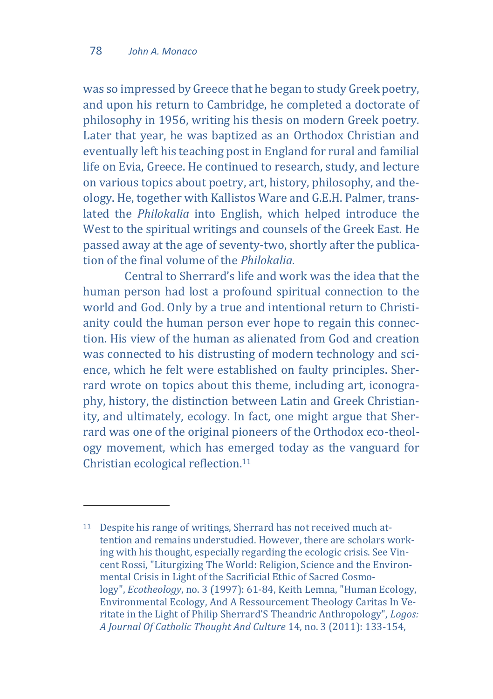$\overline{a}$ 

was so impressed by Greece that he began to study Greek poetry, and upon his return to Cambridge, he completed a doctorate of philosophy in 1956, writing his thesis on modern Greek poetry. Later that year, he was baptized as an Orthodox Christian and eventually left his teaching post in England for rural and familial life on Evia, Greece. He continued to research, study, and lecture on various topics about poetry, art, history, philosophy, and theology. He, together with Kallistos Ware and G.E.H. Palmer, translated the *Philokalia* into English, which helped introduce the West to the spiritual writings and counsels of the Greek East. He passed away at the age of seventy-two, shortly after the publication of the final volume of the *Philokalia*.

Central to Sherrard's life and work was the idea that the human person had lost a profound spiritual connection to the world and God. Only by a true and intentional return to Christianity could the human person ever hope to regain this connection. His view of the human as alienated from God and creation was connected to his distrusting of modern technology and science, which he felt were established on faulty principles. Sherrard wrote on topics about this theme, including art, iconography, history, the distinction between Latin and Greek Christianity, and ultimately, ecology. In fact, one might argue that Sherrard was one of the original pioneers of the Orthodox eco-theology movement, which has emerged today as the vanguard for Christian ecological reflection.<sup>11</sup>

<sup>11</sup> Despite his range of writings, Sherrard has not received much attention and remains understudied. However, there are scholars working with his thought, especially regarding the ecologic crisis. See Vincent Rossi, "Liturgizing The World: Religion, Science and the Environmental Crisis in Light of the Sacrificial Ethic of Sacred Cosmology", *Ecotheology*, no. 3 (1997): 61-84, Keith Lemna, "Human Ecology, Environmental Ecology, And A Ressourcement Theology Caritas In Veritate in the Light of Philip Sherrard'S Theandric Anthropology", *Logos: A Journal Of Catholic Thought And Culture* 14, no. 3 (2011): 133-154,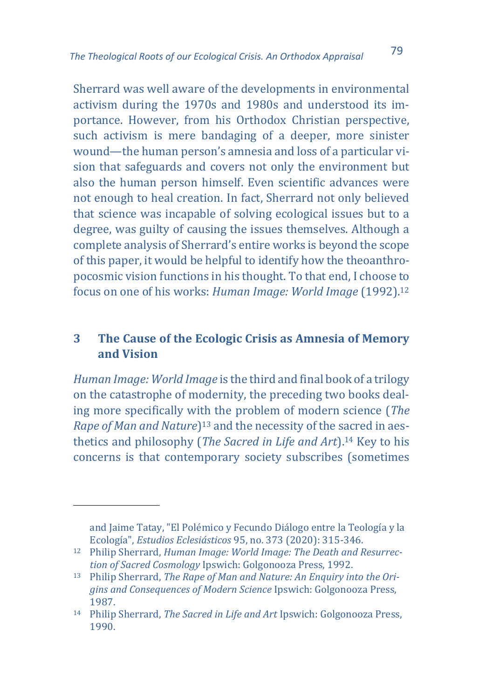Sherrard was well aware of the developments in environmental activism during the 1970s and 1980s and understood its importance. However, from his Orthodox Christian perspective, such activism is mere bandaging of a deeper, more sinister wound—the human person's amnesia and loss of a particular vision that safeguards and covers not only the environment but also the human person himself. Even scientific advances were not enough to heal creation. In fact, Sherrard not only believed that science was incapable of solving ecological issues but to a degree, was guilty of causing the issues themselves. Although a complete analysis of Sherrard's entire works is beyond the scope of this paper, it would be helpful to identify how the theoanthropocosmic vision functions in his thought. To that end, I choose to focus on one of his works: *Human Image: World Image* (1992).<sup>12</sup>

## **3 The Cause of the Ecologic Crisis as Amnesia of Memory and Vision**

*Human Image: World Image* is the third and final book of a trilogy on the catastrophe of modernity, the preceding two books dealing more specifically with the problem of modern science (*The Rape of Man and Nature*) <sup>13</sup> and the necessity of the sacred in aesthetics and philosophy (*The Sacred in Life and Art*).<sup>14</sup> Key to his concerns is that contemporary society subscribes (sometimes

and Jaime Tatay, "El Polémico y Fecundo Diálogo entre la Teología y la Ecología", *Estudios Eclesiásticos* 95, no. 373 (2020): 315-346.

<sup>12</sup> Philip Sherrard, *Human Image: World Image: The Death and Resurrection of Sacred Cosmology* Ipswich: Golgonooza Press, 1992.

<sup>13</sup> Philip Sherrard, *The Rape of Man and Nature: An Enquiry into the Origins and Consequences of Modern Science* Ipswich: Golgonooza Press, 1987.

<sup>14</sup> Philip Sherrard, *The Sacred in Life and Art* Ipswich: Golgonooza Press, 1990.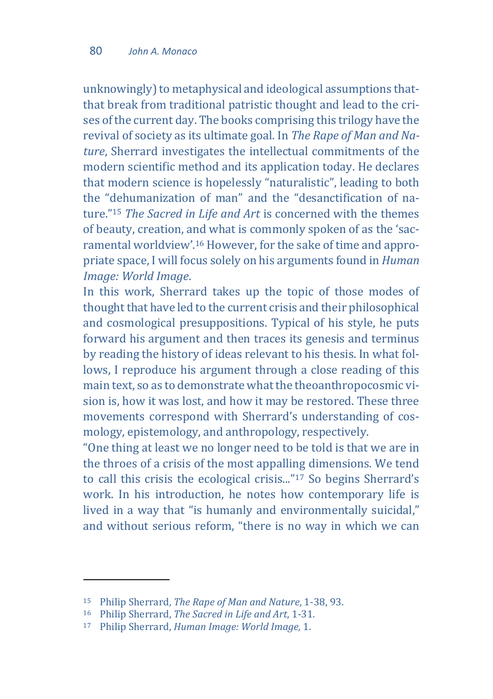unknowingly) to metaphysical and ideological assumptions thatthat break from traditional patristic thought and lead to the crises of the current day. The books comprising this trilogy have the revival of society as its ultimate goal. In *The Rape of Man and Nature*, Sherrard investigates the intellectual commitments of the modern scientific method and its application today. He declares that modern science is hopelessly "naturalistic", leading to both the "dehumanization of man" and the "desanctification of nature."<sup>15</sup> *The Sacred in Life and Art* is concerned with the themes of beauty, creation, and what is commonly spoken of as the 'sacramental worldview'.<sup>16</sup> However, for the sake of time and appropriate space, I will focus solely on his arguments found in *Human Image: World Image*.

In this work, Sherrard takes up the topic of those modes of thought that have led to the current crisis and their philosophical and cosmological presuppositions. Typical of his style, he puts forward his argument and then traces its genesis and terminus by reading the history of ideas relevant to his thesis. In what follows, I reproduce his argument through a close reading of this main text, so as to demonstrate what the theoanthropocosmic vision is, how it was lost, and how it may be restored. These three movements correspond with Sherrard's understanding of cosmology, epistemology, and anthropology, respectively.

"One thing at least we no longer need to be told is that we are in the throes of a crisis of the most appalling dimensions. We tend to call this crisis the ecological crisis..."<sup>17</sup> So begins Sherrard's work. In his introduction, he notes how contemporary life is lived in a way that "is humanly and environmentally suicidal," and without serious reform, "there is no way in which we can

 $\overline{\phantom{a}}$ 

<sup>15</sup> Philip Sherrard, *The Rape of Man and Nature*, 1-38, 93.

<sup>16</sup> Philip Sherrard, *The Sacred in Life and Art*, 1-31.

<sup>17</sup> Philip Sherrard, *Human Image: World Image*, 1.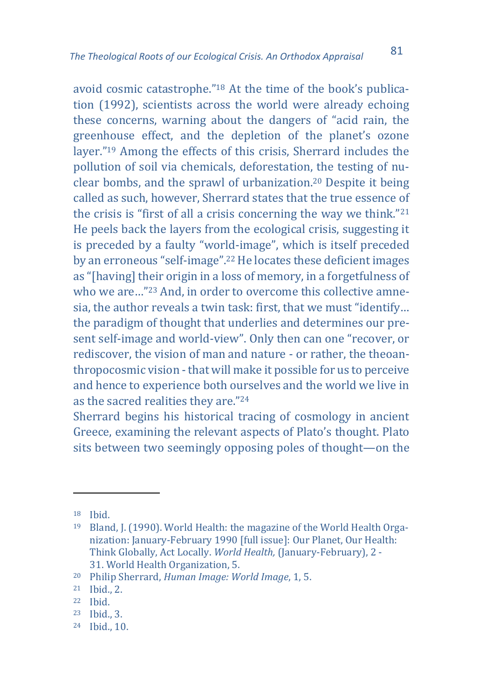avoid cosmic catastrophe."<sup>18</sup> At the time of the book's publication (1992), scientists across the world were already echoing these concerns, warning about the dangers of "acid rain, the greenhouse effect, and the depletion of the planet's ozone layer."<sup>19</sup> Among the effects of this crisis, Sherrard includes the pollution of soil via chemicals, deforestation, the testing of nuclear bombs, and the sprawl of urbanization.<sup>20</sup> Despite it being called as such, however, Sherrard states that the true essence of the crisis is "first of all a crisis concerning the way we think."<sup>21</sup> He peels back the layers from the ecological crisis, suggesting it is preceded by a faulty "world-image", which is itself preceded by an erroneous "self-image".<sup>22</sup> He locates these deficient images as "[having] their origin in a loss of memory, in a forgetfulness of who we are..."<sup>23</sup> And, in order to overcome this collective amnesia, the author reveals a twin task: first, that we must "identify… the paradigm of thought that underlies and determines our present self-image and world-view". Only then can one "recover, or rediscover, the vision of man and nature - or rather, the theoanthropocosmic vision - that will make it possible for us to perceive and hence to experience both ourselves and the world we live in as the sacred realities they are."<sup>24</sup>

Sherrard begins his historical tracing of cosmology in ancient Greece, examining the relevant aspects of Plato's thought. Plato sits between two seemingly opposing poles of thought—on the

- <sup>23</sup> Ibid., 3.
- <sup>24</sup> Ibid., 10.

<sup>18</sup> Ibid.

<sup>19</sup> Bland, J. (1990). World Health: the magazine of the World Health Organization: January-February 1990 [full issue]: Our Planet, Our Health: Think Globally, Act Locally. *World Health,* (January-February), 2 - 31. World Health Organization, 5.

<sup>20</sup> Philip Sherrard, *Human Image: World Image*, 1, 5.

<sup>21</sup> Ibid., 2.

<sup>22</sup> Ibid.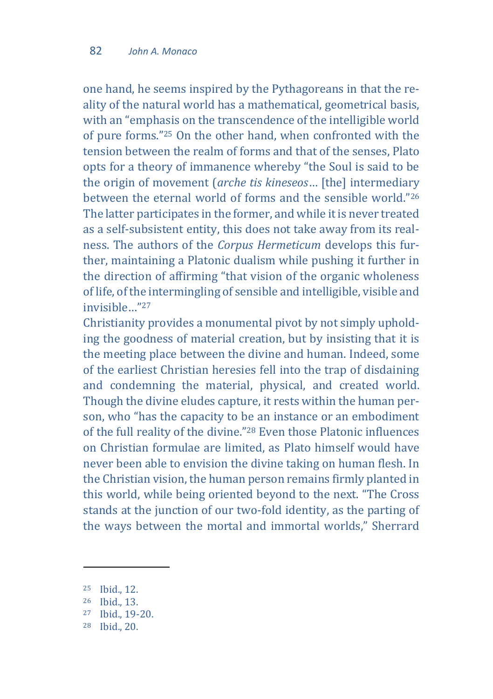one hand, he seems inspired by the Pythagoreans in that the reality of the natural world has a mathematical, geometrical basis, with an "emphasis on the transcendence of the intelligible world of pure forms."<sup>25</sup> On the other hand, when confronted with the tension between the realm of forms and that of the senses, Plato opts for a theory of immanence whereby "the Soul is said to be the origin of movement (*arche tis kineseos*… [the] intermediary between the eternal world of forms and the sensible world."<sup>26</sup> The latter participates in the former, and while it is never treated as a self-subsistent entity, this does not take away from its realness. The authors of the *Corpus Hermeticum* develops this further, maintaining a Platonic dualism while pushing it further in the direction of affirming "that vision of the organic wholeness of life, of the intermingling of sensible and intelligible, visible and invisible…"<sup>27</sup>

Christianity provides a monumental pivot by not simply upholding the goodness of material creation, but by insisting that it is the meeting place between the divine and human. Indeed, some of the earliest Christian heresies fell into the trap of disdaining and condemning the material, physical, and created world. Though the divine eludes capture, it rests within the human person, who "has the capacity to be an instance or an embodiment of the full reality of the divine."<sup>28</sup> Even those Platonic influences on Christian formulae are limited, as Plato himself would have never been able to envision the divine taking on human flesh. In the Christian vision, the human person remains firmly planted in this world, while being oriented beyond to the next. "The Cross stands at the junction of our two-fold identity, as the parting of the ways between the mortal and immortal worlds," Sherrard

 $\overline{\phantom{a}}$ 

<sup>25</sup> Ibid., 12.

<sup>26</sup> Ibid., 13.

<sup>27</sup> Ibid., 19-20.

<sup>28</sup> Ibid., 20.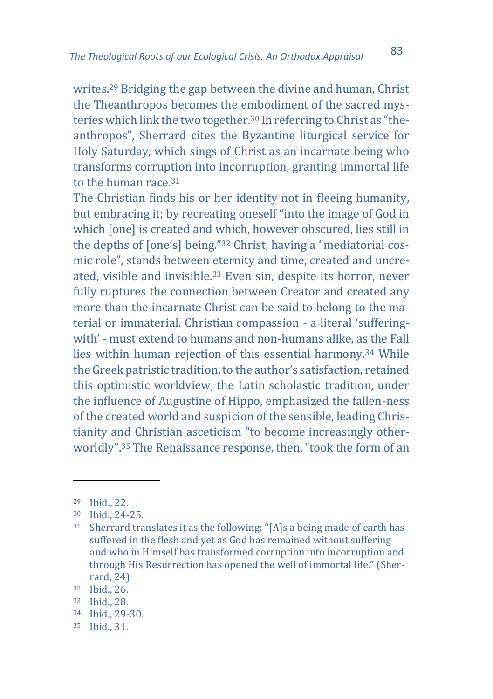writes.<sup>29</sup> Bridging the gap between the divine and human, Christ the Theanthropos becomes the embodiment of the sacred mysteries which link the two together.<sup>30</sup> In referring to Christ as "theanthropos", Sherrard cites the Byzantine liturgical service for Holy Saturday, which sings of Christ as an incarnate being who transforms corruption into incorruption, granting immortal life to the human race.<sup>31</sup>

The Christian finds his or her identity not in fleeing humanity, but embracing it; by recreating oneself "into the image of God in which [one] is created and which, however obscured, lies still in the depths of [one's] being."<sup>32</sup> Christ, having a "mediatorial cosmic role", stands between eternity and time, created and uncreated, visible and invisible.<sup>33</sup> Even sin, despite its horror, never fully ruptures the connection between Creator and created any more than the incarnate Christ can be said to belong to the material or immaterial. Christian compassion - a literal 'sufferingwith' - must extend to humans and non-humans alike, as the Fall lies within human rejection of this essential harmony.<sup>34</sup> While the Greek patristic tradition, to the author's satisfaction, retained this optimistic worldview, the Latin scholastic tradition, under the influence of Augustine of Hippo, emphasized the fallen-ness of the created world and suspicion of the sensible, leading Christianity and Christian asceticism "to become increasingly otherworldly".<sup>35</sup> The Renaissance response, then, "took the form of an

 $\overline{a}$ 

<sup>35</sup> Ibid., 31.

<sup>29</sup> Ibid., 22.

<sup>30</sup> Ibid., 24-25.

<sup>31</sup> Sherrard translates it as the following: "[A]s a being made of earth has suffered in the flesh and yet as God has remained without suffering and who in Himself has transformed corruption into incorruption and through His Resurrection has opened the well of immortal life." (Sherrard, 24)

<sup>32</sup> Ibid., 26.

<sup>33</sup> Ibid., 28.

<sup>34</sup> Ibid., 29-30.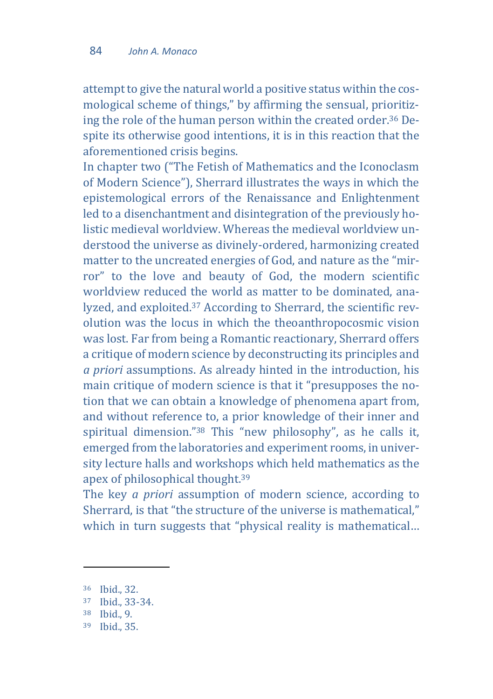attempt to give the natural world a positive status within the cosmological scheme of things," by affirming the sensual, prioritizing the role of the human person within the created order.<sup>36</sup> Despite its otherwise good intentions, it is in this reaction that the aforementioned crisis begins.

In chapter two ("The Fetish of Mathematics and the Iconoclasm of Modern Science"), Sherrard illustrates the ways in which the epistemological errors of the Renaissance and Enlightenment led to a disenchantment and disintegration of the previously holistic medieval worldview. Whereas the medieval worldview understood the universe as divinely-ordered, harmonizing created matter to the uncreated energies of God, and nature as the "mirror" to the love and beauty of God, the modern scientific worldview reduced the world as matter to be dominated, analyzed, and exploited.<sup>37</sup> According to Sherrard, the scientific revolution was the locus in which the theoanthropocosmic vision was lost. Far from being a Romantic reactionary, Sherrard offers a critique of modern science by deconstructing its principles and *a priori* assumptions. As already hinted in the introduction, his main critique of modern science is that it "presupposes the notion that we can obtain a knowledge of phenomena apart from, and without reference to, a prior knowledge of their inner and spiritual dimension."<sup>38</sup> This "new philosophy", as he calls it, emerged from the laboratories and experiment rooms, in university lecture halls and workshops which held mathematics as the apex of philosophical thought.<sup>39</sup>

The key *a priori* assumption of modern science, according to Sherrard, is that "the structure of the universe is mathematical," which in turn suggests that "physical reality is mathematical...

 $\overline{\phantom{a}}$ 

<sup>36</sup> Ibid., 32.

<sup>37</sup> Ibid., 33-34.

<sup>38</sup> Ibid., 9.

<sup>39</sup> Ibid., 35.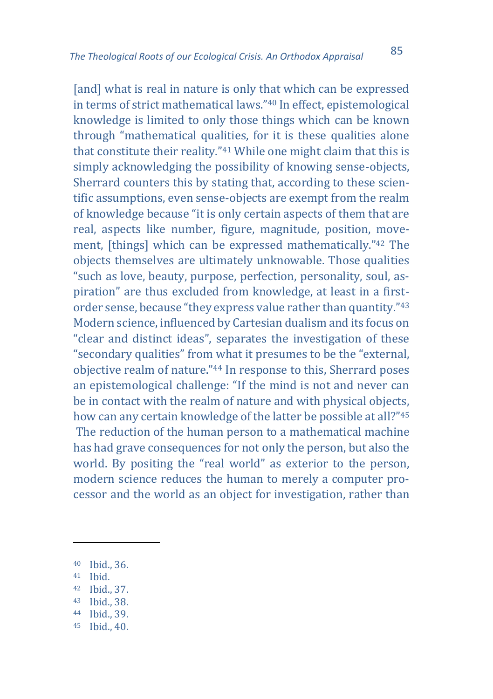[and] what is real in nature is only that which can be expressed in terms of strict mathematical laws."<sup>40</sup> In effect, epistemological knowledge is limited to only those things which can be known through "mathematical qualities, for it is these qualities alone that constitute their reality."<sup>41</sup> While one might claim that this is simply acknowledging the possibility of knowing sense-objects, Sherrard counters this by stating that, according to these scientific assumptions, even sense-objects are exempt from the realm of knowledge because "it is only certain aspects of them that are real, aspects like number, figure, magnitude, position, movement, [things] which can be expressed mathematically."<sup>42</sup> The objects themselves are ultimately unknowable. Those qualities "such as love, beauty, purpose, perfection, personality, soul, aspiration" are thus excluded from knowledge, at least in a firstorder sense, because "they express value rather than quantity."<sup>43</sup> Modern science, influenced by Cartesian dualism and its focus on "clear and distinct ideas", separates the investigation of these "secondary qualities" from what it presumes to be the "external, objective realm of nature."<sup>44</sup> In response to this, Sherrard poses an epistemological challenge: "If the mind is not and never can be in contact with the realm of nature and with physical objects, how can any certain knowledge of the latter be possible at all?"<sup>45</sup> The reduction of the human person to a mathematical machine has had grave consequences for not only the person, but also the world. By positing the "real world" as exterior to the person, modern science reduces the human to merely a computer processor and the world as an object for investigation, rather than

- <sup>43</sup> Ibid., 38.
- <sup>44</sup> Ibid., 39.
- <sup>45</sup> Ibid., 40.

<sup>40</sup> Ibid., 36.

<sup>41</sup> Ibid.

<sup>42</sup> Ibid., 37.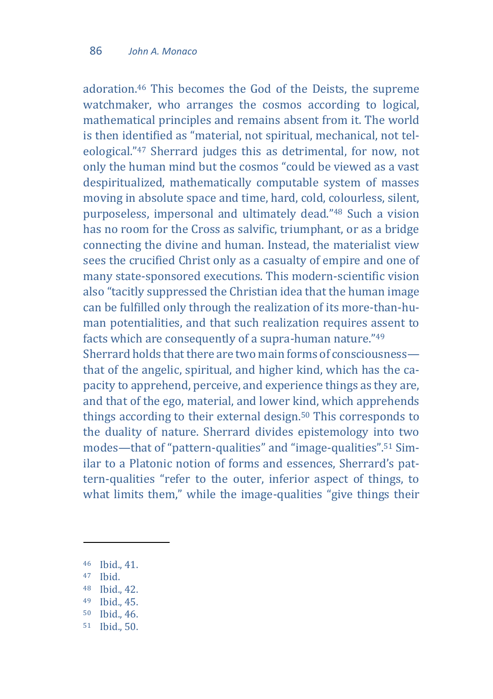adoration.<sup>46</sup> This becomes the God of the Deists, the supreme watchmaker, who arranges the cosmos according to logical, mathematical principles and remains absent from it. The world is then identified as "material, not spiritual, mechanical, not teleological."<sup>47</sup> Sherrard judges this as detrimental, for now, not only the human mind but the cosmos "could be viewed as a vast despiritualized, mathematically computable system of masses moving in absolute space and time, hard, cold, colourless, silent, purposeless, impersonal and ultimately dead."<sup>48</sup> Such a vision has no room for the Cross as salvific, triumphant, or as a bridge connecting the divine and human. Instead, the materialist view sees the crucified Christ only as a casualty of empire and one of many state-sponsored executions. This modern-scientific vision also "tacitly suppressed the Christian idea that the human image can be fulfilled only through the realization of its more-than-human potentialities, and that such realization requires assent to facts which are consequently of a supra-human nature."<sup>49</sup> Sherrard holds that there are two main forms of consciousness that of the angelic, spiritual, and higher kind, which has the capacity to apprehend, perceive, and experience things as they are, and that of the ego, material, and lower kind, which apprehends things according to their external design.<sup>50</sup> This corresponds to the duality of nature. Sherrard divides epistemology into two modes—that of "pattern-qualities" and "image-qualities".<sup>51</sup> Similar to a Platonic notion of forms and essences, Sherrard's pattern-qualities "refer to the outer, inferior aspect of things, to what limits them," while the image-qualities "give things their

<sup>47</sup> Ibid.

 $\overline{\phantom{a}}$ 

- <sup>48</sup> Ibid., 42.
- <sup>49</sup> Ibid., 45.
- <sup>50</sup> Ibid., 46.
- <sup>51</sup> Ibid., 50.

<sup>46</sup> Ibid., 41.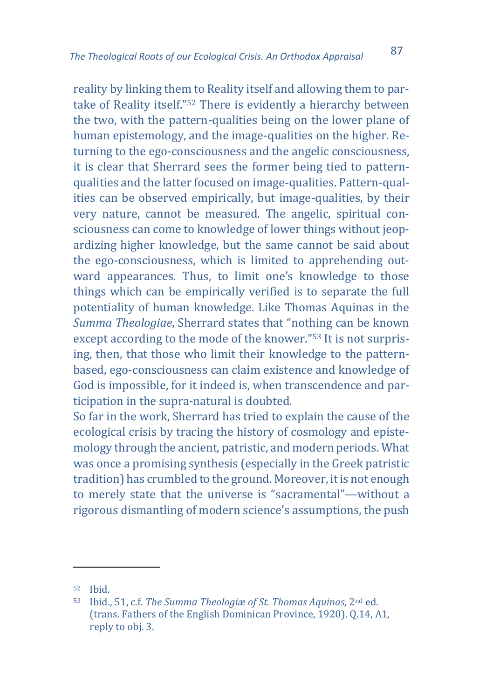reality by linking them to Reality itself and allowing them to partake of Reality itself."<sup>52</sup> There is evidently a hierarchy between the two, with the pattern-qualities being on the lower plane of human epistemology, and the image-qualities on the higher. Returning to the ego-consciousness and the angelic consciousness, it is clear that Sherrard sees the former being tied to patternqualities and the latter focused on image-qualities. Pattern-qualities can be observed empirically, but image-qualities, by their very nature, cannot be measured. The angelic, spiritual consciousness can come to knowledge of lower things without jeopardizing higher knowledge, but the same cannot be said about the ego-consciousness, which is limited to apprehending outward appearances. Thus, to limit one's knowledge to those things which can be empirically verified is to separate the full potentiality of human knowledge. Like Thomas Aquinas in the *Summa Theologiae*, Sherrard states that "nothing can be known except according to the mode of the knower."<sup>53</sup> It is not surprising, then, that those who limit their knowledge to the patternbased, ego-consciousness can claim existence and knowledge of God is impossible, for it indeed is, when transcendence and participation in the supra-natural is doubted.

So far in the work, Sherrard has tried to explain the cause of the ecological crisis by tracing the history of cosmology and epistemology through the ancient, patristic, and modern periods. What was once a promising synthesis (especially in the Greek patristic tradition) has crumbled to the ground. Moreover, it is not enough to merely state that the universe is "sacramental"—without a rigorous dismantling of modern science's assumptions, the push

<sup>52</sup> Ibid.

<sup>53</sup> Ibid., 51, c.f. *The Summa Theologiæ of St. Thomas Aquinas*, 2nd ed. (trans. Fathers of the English Dominican Province, 1920). Q.14, A1, reply to obj. 3.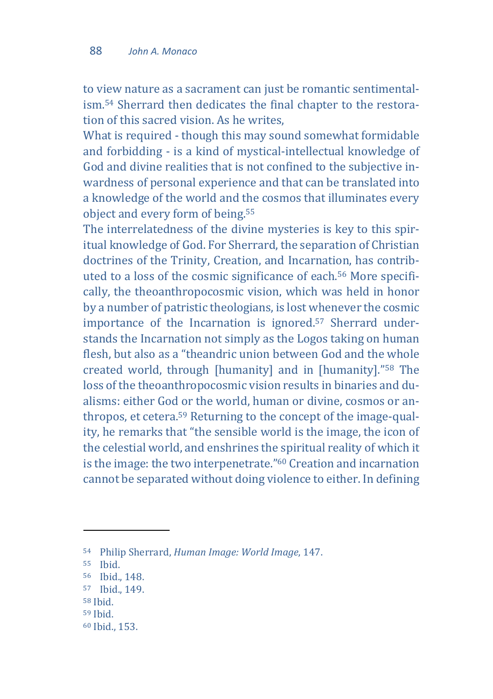to view nature as a sacrament can just be romantic sentimentalism.<sup>54</sup> Sherrard then dedicates the final chapter to the restoration of this sacred vision. As he writes,

What is required - though this may sound somewhat formidable and forbidding - is a kind of mystical-intellectual knowledge of God and divine realities that is not confined to the subjective inwardness of personal experience and that can be translated into a knowledge of the world and the cosmos that illuminates every object and every form of being.<sup>55</sup>

The interrelatedness of the divine mysteries is key to this spiritual knowledge of God. For Sherrard, the separation of Christian doctrines of the Trinity, Creation, and Incarnation, has contributed to a loss of the cosmic significance of each.<sup>56</sup> More specifically, the theoanthropocosmic vision, which was held in honor by a number of patristic theologians, is lost whenever the cosmic importance of the Incarnation is ignored.<sup>57</sup> Sherrard understands the Incarnation not simply as the Logos taking on human flesh, but also as a "theandric union between God and the whole created world, through [humanity] and in [humanity]."<sup>58</sup> The loss of the theoanthropocosmic vision results in binaries and dualisms: either God or the world, human or divine, cosmos or anthropos, et cetera.<sup>59</sup> Returning to the concept of the image-quality, he remarks that "the sensible world is the image, the icon of the celestial world, and enshrines the spiritual reality of which it is the image: the two interpenetrate."<sup>60</sup> Creation and incarnation cannot be separated without doing violence to either. In defining

<sup>54</sup> Philip Sherrard, *Human Image: World Image*, 147.

<sup>55</sup> Ibid.

<sup>56</sup> Ibid., 148.

<sup>57</sup> Ibid., 149.

<sup>58</sup> Ibid.

<sup>59</sup> Ibid.

<sup>60</sup> Ibid., 153.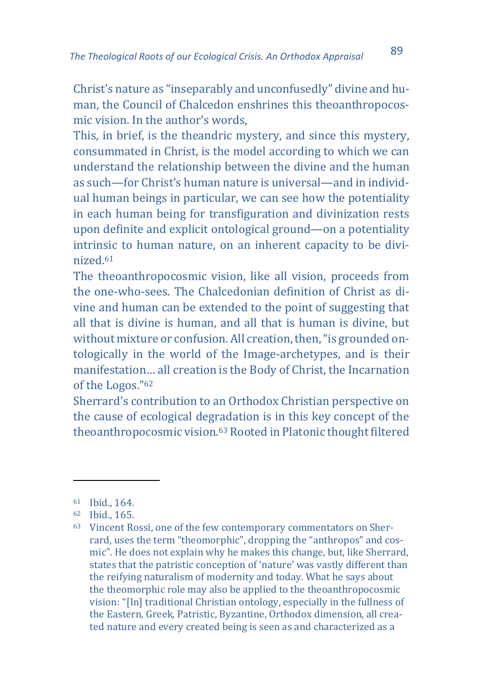Christ's nature as "inseparably and unconfusedly" divine and human, the Council of Chalcedon enshrines this theoanthropocosmic vision. In the author's words,

This, in brief, is the theandric mystery, and since this mystery, consummated in Christ, is the model according to which we can understand the relationship between the divine and the human as such—for Christ's human nature is universal—and in individual human beings in particular, we can see how the potentiality in each human being for transfiguration and divinization rests upon definite and explicit ontological ground—on a potentiality intrinsic to human nature, on an inherent capacity to be divinized.<sup>61</sup>

The theoanthropocosmic vision, like all vision, proceeds from the one-who-sees. The Chalcedonian definition of Christ as divine and human can be extended to the point of suggesting that all that is divine is human, and all that is human is divine, but without mixture or confusion. All creation, then, "is grounded ontologically in the world of the Image-archetypes, and is their manifestation… all creation is the Body of Christ, the Incarnation of the Logos."<sup>62</sup>

Sherrard's contribution to an Orthodox Christian perspective on the cause of ecological degradation is in this key concept of the theoanthropocosmic vision.<sup>63</sup> Rooted in Platonic thought filtered

<sup>61</sup> Ibid., 164.

<sup>62</sup> Ibid., 165.

<sup>63</sup> Vincent Rossi, one of the few contemporary commentators on Sherrard, uses the term "theomorphic", dropping the "anthropos" and cosmic". He does not explain why he makes this change, but, like Sherrard, states that the patristic conception of 'nature' was vastly different than the reifying naturalism of modernity and today. What he says about the theomorphic role may also be applied to the theoanthropocosmic vision: "[In] traditional Christian ontology, especially in the fullness of the Eastern, Greek, Patristic, Byzantine, Orthodox dimension, all created nature and every created being is seen as and characterized as a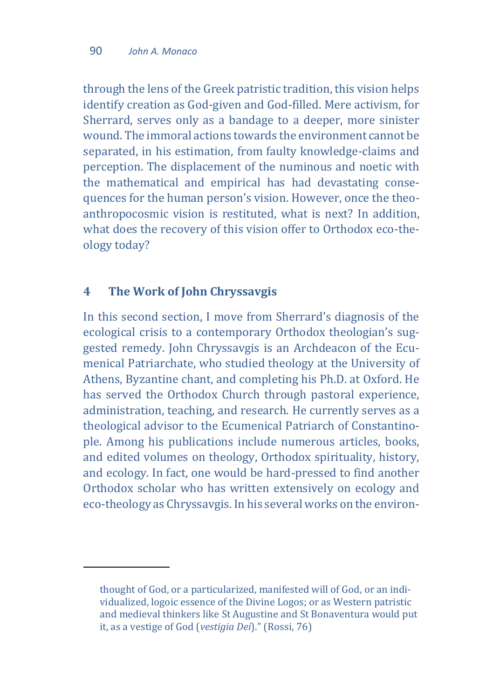through the lens of the Greek patristic tradition, this vision helps identify creation as God-given and God-filled. Mere activism, for Sherrard, serves only as a bandage to a deeper, more sinister wound. The immoral actions towards the environment cannot be separated, in his estimation, from faulty knowledge-claims and perception. The displacement of the numinous and noetic with the mathematical and empirical has had devastating consequences for the human person's vision. However, once the theoanthropocosmic vision is restituted, what is next? In addition, what does the recovery of this vision offer to Orthodox eco-theology today?

#### **4 The Work of John Chryssavgis**

 $\overline{\phantom{a}}$ 

In this second section, I move from Sherrard's diagnosis of the ecological crisis to a contemporary Orthodox theologian's suggested remedy. John Chryssavgis is an Archdeacon of the Ecumenical Patriarchate, who studied theology at the University of Athens, Byzantine chant, and completing his Ph.D. at Oxford. He has served the Orthodox Church through pastoral experience, administration, teaching, and research. He currently serves as a theological advisor to the Ecumenical Patriarch of Constantinople. Among his publications include numerous articles, books, and edited volumes on theology, Orthodox spirituality, history, and ecology. In fact, one would be hard-pressed to find another Orthodox scholar who has written extensively on ecology and eco-theology as Chryssavgis. In his several works on the environ-

thought of God, or a particularized, manifested will of God, or an individualized, logoic essence of the Divine Logos; or as Western patristic and medieval thinkers like St Augustine and St Bonaventura would put it, as a vestige of God (*vestigia Dei*)." (Rossi, 76)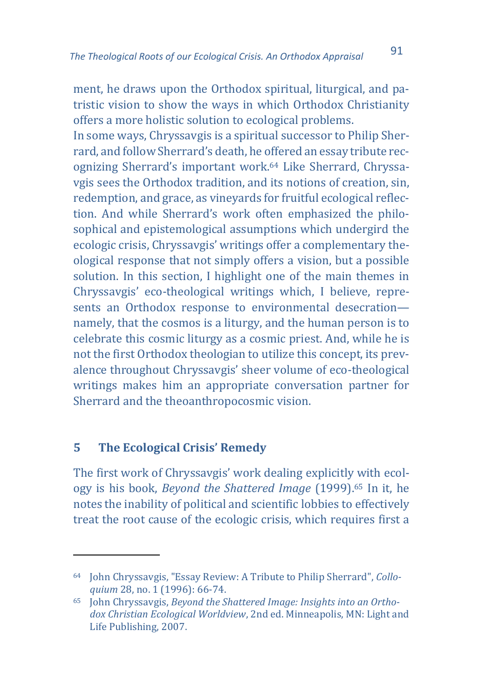ment, he draws upon the Orthodox spiritual, liturgical, and patristic vision to show the ways in which Orthodox Christianity offers a more holistic solution to ecological problems.

In some ways, Chryssavgis is a spiritual successor to Philip Sherrard, and follow Sherrard's death, he offered an essay tribute recognizing Sherrard's important work.<sup>64</sup> Like Sherrard, Chryssavgis sees the Orthodox tradition, and its notions of creation, sin, redemption, and grace, as vineyards for fruitful ecological reflection. And while Sherrard's work often emphasized the philosophical and epistemological assumptions which undergird the ecologic crisis, Chryssavgis' writings offer a complementary theological response that not simply offers a vision, but a possible solution. In this section, I highlight one of the main themes in Chryssavgis' eco-theological writings which, I believe, represents an Orthodox response to environmental desecration namely, that the cosmos is a liturgy, and the human person is to celebrate this cosmic liturgy as a cosmic priest. And, while he is not the first Orthodox theologian to utilize this concept, its prevalence throughout Chryssavgis' sheer volume of eco-theological writings makes him an appropriate conversation partner for Sherrard and the theoanthropocosmic vision.

#### **5 The Ecological Crisis' Remedy**

 $\overline{a}$ 

The first work of Chryssavgis' work dealing explicitly with ecology is his book, *Beyond the Shattered Image* (1999).<sup>65</sup> In it, he notes the inability of political and scientific lobbies to effectively treat the root cause of the ecologic crisis, which requires first a

<sup>64</sup> John Chryssavgis, "Essay Review: A Tribute to Philip Sherrard", *Colloquium* 28, no. 1 (1996): 66-74.

<sup>65</sup> John Chryssavgis, *Beyond the Shattered Image: Insights into an Orthodox Christian Ecological Worldview*, 2nd ed. Minneapolis, MN: Light and Life Publishing, 2007.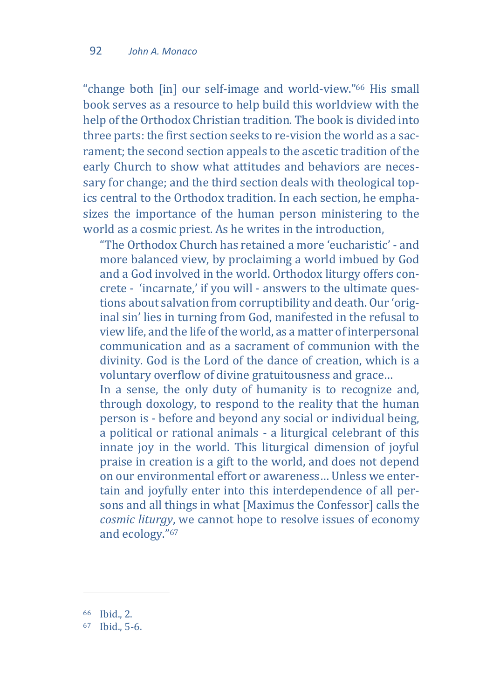"change both [in] our self-image and world-view."<sup>66</sup> His small book serves as a resource to help build this worldview with the help of the Orthodox Christian tradition. The book is divided into three parts: the first section seeks to re-vision the world as a sacrament; the second section appeals to the ascetic tradition of the early Church to show what attitudes and behaviors are necessary for change; and the third section deals with theological topics central to the Orthodox tradition. In each section, he emphasizes the importance of the human person ministering to the world as a cosmic priest. As he writes in the introduction,

"The Orthodox Church has retained a more 'eucharistic' - and more balanced view, by proclaiming a world imbued by God and a God involved in the world. Orthodox liturgy offers concrete - 'incarnate,' if you will - answers to the ultimate questions about salvation from corruptibility and death. Our 'original sin' lies in turning from God, manifested in the refusal to view life, and the life of the world, as a matter of interpersonal communication and as a sacrament of communion with the divinity. God is the Lord of the dance of creation, which is a voluntary overflow of divine gratuitousness and grace…

In a sense, the only duty of humanity is to recognize and, through doxology, to respond to the reality that the human person is - before and beyond any social or individual being, a political or rational animals - a liturgical celebrant of this innate joy in the world. This liturgical dimension of joyful praise in creation is a gift to the world, and does not depend on our environmental effort or awareness… Unless we entertain and joyfully enter into this interdependence of all persons and all things in what [Maximus the Confessor] calls the *cosmic liturgy*, we cannot hope to resolve issues of economy and ecology."<sup>67</sup>

<sup>66</sup> Ibid., 2.

 $67$  Ihid., 5-6.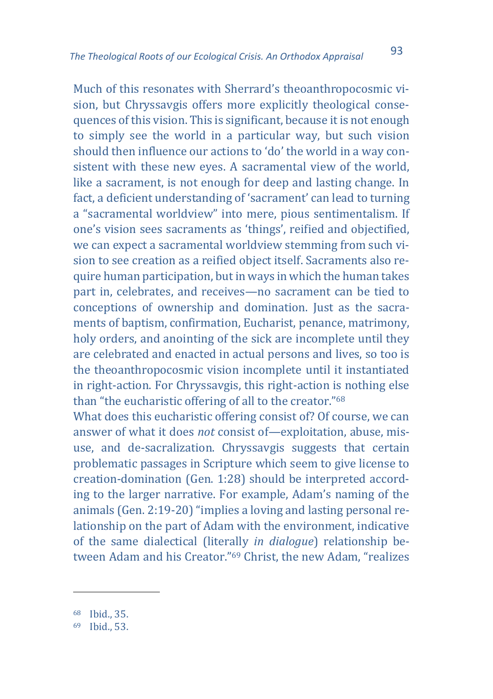Much of this resonates with Sherrard's theoanthropocosmic vision, but Chryssavgis offers more explicitly theological consequences of this vision. This is significant, because it is not enough to simply see the world in a particular way, but such vision should then influence our actions to 'do' the world in a way consistent with these new eyes. A sacramental view of the world, like a sacrament, is not enough for deep and lasting change. In fact, a deficient understanding of 'sacrament' can lead to turning a "sacramental worldview" into mere, pious sentimentalism. If one's vision sees sacraments as 'things', reified and objectified, we can expect a sacramental worldview stemming from such vision to see creation as a reified object itself. Sacraments also require human participation, but in ways in which the human takes part in, celebrates, and receives—no sacrament can be tied to conceptions of ownership and domination. Just as the sacraments of baptism, confirmation, Eucharist, penance, matrimony, holy orders, and anointing of the sick are incomplete until they are celebrated and enacted in actual persons and lives, so too is the theoanthropocosmic vision incomplete until it instantiated in right-action. For Chryssavgis, this right-action is nothing else than "the eucharistic offering of all to the creator."<sup>68</sup>

What does this eucharistic offering consist of? Of course, we can answer of what it does *not* consist of—exploitation, abuse, misuse, and de-sacralization. Chryssavgis suggests that certain problematic passages in Scripture which seem to give license to creation-domination (Gen. 1:28) should be interpreted according to the larger narrative. For example, Adam's naming of the animals (Gen. 2:19-20) "implies a loving and lasting personal relationship on the part of Adam with the environment, indicative of the same dialectical (literally *in dialogue*) relationship between Adam and his Creator."<sup>69</sup> Christ, the new Adam, "realizes

<sup>68</sup> Ibid., 35.

<sup>69</sup> Ibid., 53.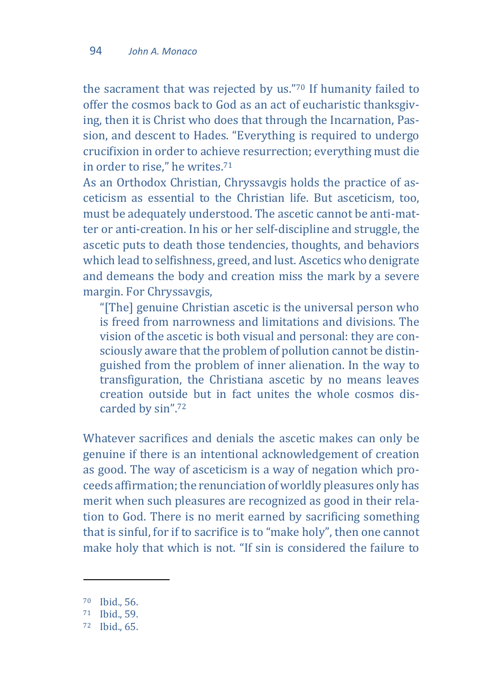the sacrament that was rejected by us."<sup>70</sup> If humanity failed to offer the cosmos back to God as an act of eucharistic thanksgiving, then it is Christ who does that through the Incarnation, Passion, and descent to Hades. "Everything is required to undergo crucifixion in order to achieve resurrection; everything must die in order to rise," he writes.<sup>71</sup>

As an Orthodox Christian, Chryssavgis holds the practice of asceticism as essential to the Christian life. But asceticism, too, must be adequately understood. The ascetic cannot be anti-matter or anti-creation. In his or her self-discipline and struggle, the ascetic puts to death those tendencies, thoughts, and behaviors which lead to selfishness, greed, and lust. Ascetics who denigrate and demeans the body and creation miss the mark by a severe margin. For Chryssavgis,

"[The] genuine Christian ascetic is the universal person who is freed from narrowness and limitations and divisions. The vision of the ascetic is both visual and personal: they are consciously aware that the problem of pollution cannot be distinguished from the problem of inner alienation. In the way to transfiguration, the Christiana ascetic by no means leaves creation outside but in fact unites the whole cosmos discarded by sin". 72

Whatever sacrifices and denials the ascetic makes can only be genuine if there is an intentional acknowledgement of creation as good. The way of asceticism is a way of negation which proceeds affirmation; the renunciation of worldly pleasures only has merit when such pleasures are recognized as good in their relation to God. There is no merit earned by sacrificing something that is sinful, for if to sacrifice is to "make holy", then one cannot make holy that which is not. "If sin is considered the failure to

 $\overline{\phantom{a}}$ 

<sup>70</sup> Ibid., 56.

<sup>71</sup> Ibid., 59.

<sup>72</sup> Ibid., 65.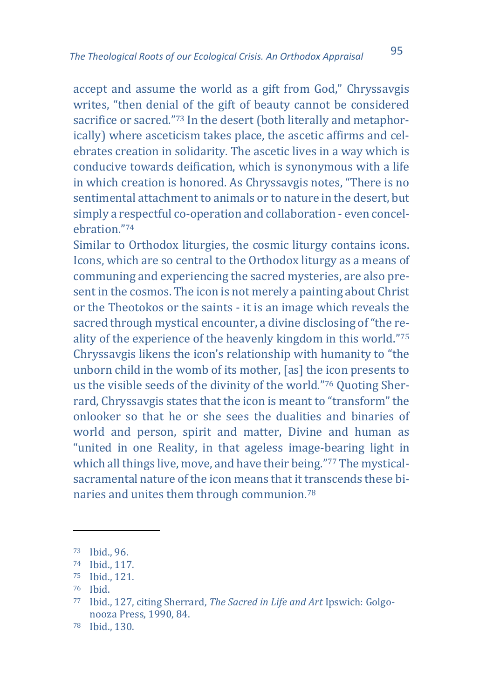accept and assume the world as a gift from God," Chryssavgis writes, "then denial of the gift of beauty cannot be considered sacrifice or sacred."<sup>73</sup> In the desert (both literally and metaphorically) where asceticism takes place, the ascetic affirms and celebrates creation in solidarity. The ascetic lives in a way which is conducive towards deification, which is synonymous with a life in which creation is honored. As Chryssavgis notes, "There is no sentimental attachment to animals or to nature in the desert, but simply a respectful co-operation and collaboration - even concelebration."<sup>74</sup>

Similar to Orthodox liturgies, the cosmic liturgy contains icons. Icons, which are so central to the Orthodox liturgy as a means of communing and experiencing the sacred mysteries, are also present in the cosmos. The icon is not merely a painting about Christ or the Theotokos or the saints - it is an image which reveals the sacred through mystical encounter, a divine disclosing of "the reality of the experience of the heavenly kingdom in this world."<sup>75</sup> Chryssavgis likens the icon's relationship with humanity to "the unborn child in the womb of its mother, [as] the icon presents to us the visible seeds of the divinity of the world."<sup>76</sup> Quoting Sherrard, Chryssavgis states that the icon is meant to "transform" the onlooker so that he or she sees the dualities and binaries of world and person, spirit and matter, Divine and human as "united in one Reality, in that ageless image-bearing light in which all things live, move, and have their being."<sup>77</sup> The mysticalsacramental nature of the icon means that it transcends these binaries and unites them through communion.<sup>78</sup>

1

<sup>73</sup> Ibid., 96.

<sup>74</sup> Ibid., 117.

<sup>75</sup> Ibid., 121.

<sup>76</sup> Ibid.

<sup>77</sup> Ibid., 127, citing Sherrard, *The Sacred in Life and Art* Ipswich: Golgonooza Press, 1990, 84.

<sup>78</sup> Ibid., 130.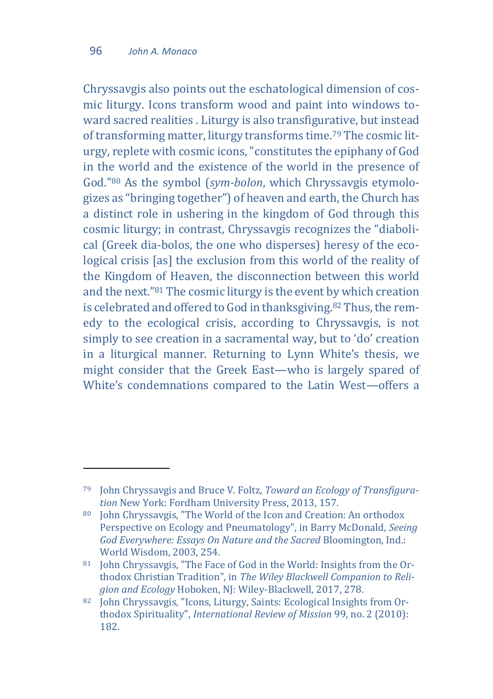$\overline{\phantom{a}}$ 

Chryssavgis also points out the eschatological dimension of cosmic liturgy. Icons transform wood and paint into windows toward sacred realities . Liturgy is also transfigurative, but instead of transforming matter, liturgy transforms time.<sup>79</sup> The cosmic liturgy, replete with cosmic icons, "constitutes the epiphany of God in the world and the existence of the world in the presence of God."<sup>80</sup> As the symbol (*sym-bolon*, which Chryssavgis etymologizes as "bringing together") of heaven and earth, the Church has a distinct role in ushering in the kingdom of God through this cosmic liturgy; in contrast, Chryssavgis recognizes the "diabolical (Greek dia-bolos, the one who disperses) heresy of the ecological crisis [as] the exclusion from this world of the reality of the Kingdom of Heaven, the disconnection between this world and the next."<sup>81</sup> The cosmic liturgy is the event by which creation is celebrated and offered to God in thanksgiving.<sup>82</sup> Thus, the remedy to the ecological crisis, according to Chryssavgis, is not simply to see creation in a sacramental way, but to 'do' creation in a liturgical manner. Returning to Lynn White's thesis, we might consider that the Greek East—who is largely spared of White's condemnations compared to the Latin West—offers a

<sup>79</sup> John Chryssavgis and Bruce V. Foltz, *Toward an Ecology of Transfiguration* New York: Fordham University Press, 2013, 157.

<sup>80</sup> John Chryssavgis, "The World of the Icon and Creation: An orthodox Perspective on Ecology and Pneumatology", in Barry McDonald, *Seeing God Everywhere: Essays On Nature and the Sacred* Bloomington, Ind.: World Wisdom, 2003, 254.

<sup>81</sup> John Chryssavgis, "The Face of God in the World: Insights from the Orthodox Christian Tradition", in *The Wiley Blackwell Companion to Religion and Ecology* Hoboken, NJ: Wiley-Blackwell, 2017, 278.

<sup>82</sup> John Chryssavgis, "Icons, Liturgy, Saints: Ecological Insights from Orthodox Spirituality", *International Review of Mission* 99, no. 2 (2010): 182.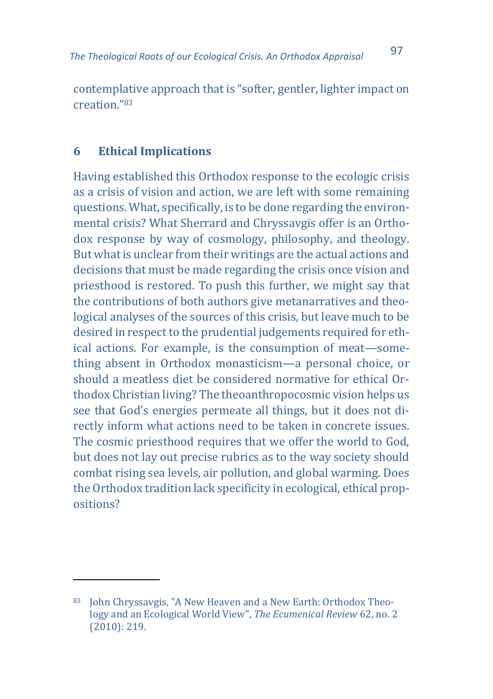contemplative approach that is "softer, gentler, lighter impact on creation."<sup>83</sup>

### **6 Ethical Implications**

 $\overline{a}$ 

Having established this Orthodox response to the ecologic crisis as a crisis of vision and action, we are left with some remaining questions. What, specifically, is to be done regarding the environmental crisis? What Sherrard and Chryssavgis offer is an Orthodox response by way of cosmology, philosophy, and theology. But what is unclear from their writings are the actual actions and decisions that must be made regarding the crisis once vision and priesthood is restored. To push this further, we might say that the contributions of both authors give metanarratives and theological analyses of the sources of this crisis, but leave much to be desired in respect to the prudential judgements required for ethical actions. For example, is the consumption of meat—something absent in Orthodox monasticism—a personal choice, or should a meatless diet be considered normative for ethical Orthodox Christian living? The theoanthropocosmic vision helps us see that God's energies permeate all things, but it does not directly inform what actions need to be taken in concrete issues. The cosmic priesthood requires that we offer the world to God, but does not lay out precise rubrics as to the way society should combat rising sea levels, air pollution, and global warming. Does the Orthodox tradition lack specificity in ecological, ethical propositions?

<sup>83</sup> John Chryssavgis, "A New Heaven and a New Earth: Orthodox Theology and an Ecological World View", *The Ecumenical Review* 62, no. 2 (2010): 219.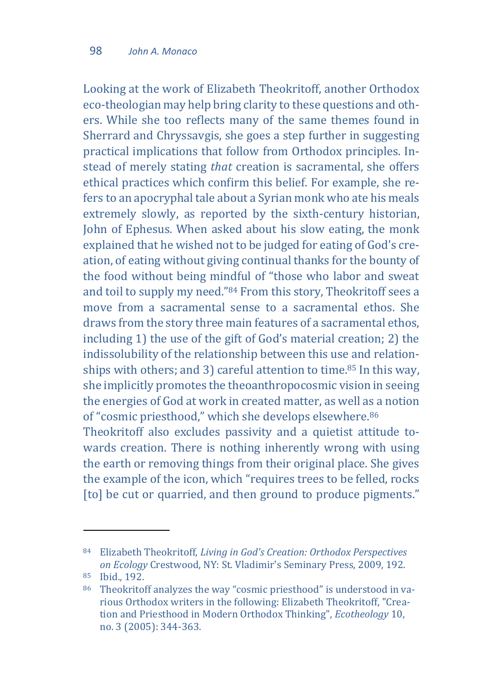Looking at the work of Elizabeth Theokritoff, another Orthodox eco-theologian may help bring clarity to these questions and others. While she too reflects many of the same themes found in Sherrard and Chryssavgis, she goes a step further in suggesting practical implications that follow from Orthodox principles. Instead of merely stating *that* creation is sacramental, she offers ethical practices which confirm this belief. For example, she refers to an apocryphal tale about a Syrian monk who ate his meals extremely slowly, as reported by the sixth-century historian, John of Ephesus. When asked about his slow eating, the monk explained that he wished not to be judged for eating of God's creation, of eating without giving continual thanks for the bounty of the food without being mindful of "those who labor and sweat and toil to supply my need."<sup>84</sup> From this story, Theokritoff sees a move from a sacramental sense to a sacramental ethos. She draws from the story three main features of a sacramental ethos, including 1) the use of the gift of God's material creation; 2) the indissolubility of the relationship between this use and relationships with others; and 3) careful attention to time.<sup>85</sup> In this way, she implicitly promotes the theoanthropocosmic vision in seeing the energies of God at work in created matter, as well as a notion of "cosmic priesthood," which she develops elsewhere.<sup>86</sup> Theokritoff also excludes passivity and a quietist attitude towards creation. There is nothing inherently wrong with using the earth or removing things from their original place. She gives the example of the icon, which "requires trees to be felled, rocks

[to] be cut or quarried, and then ground to produce pigments."

<sup>84</sup> Elizabeth Theokritoff, *Living in God's Creation: Orthodox Perspectives on Ecology* Crestwood, NY: St. Vladimir's Seminary Press, 2009, 192.

<sup>85</sup> Ibid., 192.

<sup>86</sup> Theokritoff analyzes the way "cosmic priesthood" is understood in various Orthodox writers in the following: Elizabeth Theokritoff, "Creation and Priesthood in Modern Orthodox Thinking", *Ecotheology* 10, no. 3 (2005): 344-363.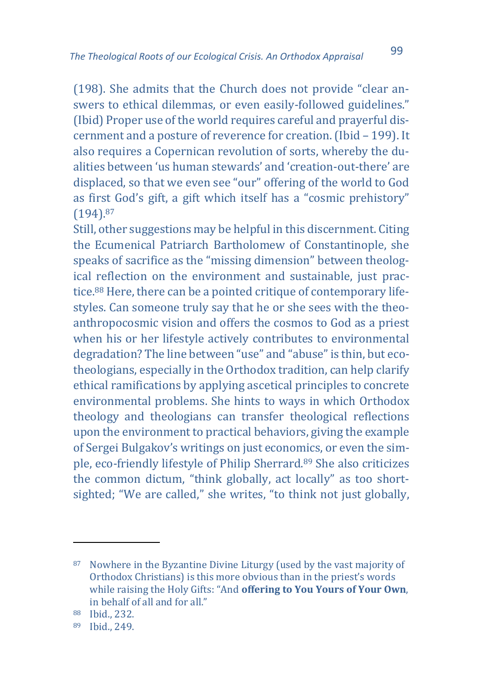(198). She admits that the Church does not provide "clear answers to ethical dilemmas, or even easily-followed guidelines." (Ibid) Proper use of the world requires careful and prayerful discernment and a posture of reverence for creation. (Ibid – 199). It also requires a Copernican revolution of sorts, whereby the dualities between 'us human stewards' and 'creation-out-there' are displaced, so that we even see "our" offering of the world to God as first God's gift, a gift which itself has a "cosmic prehistory" (194).<sup>87</sup>

Still, other suggestions may be helpful in this discernment. Citing the Ecumenical Patriarch Bartholomew of Constantinople, she speaks of sacrifice as the "missing dimension" between theological reflection on the environment and sustainable, just practice.<sup>88</sup> Here, there can be a pointed critique of contemporary lifestyles. Can someone truly say that he or she sees with the theoanthropocosmic vision and offers the cosmos to God as a priest when his or her lifestyle actively contributes to environmental degradation? The line between "use" and "abuse" is thin, but ecotheologians, especially in the Orthodox tradition, can help clarify ethical ramifications by applying ascetical principles to concrete environmental problems. She hints to ways in which Orthodox theology and theologians can transfer theological reflections upon the environment to practical behaviors, giving the example of Sergei Bulgakov's writings on just economics, or even the simple, eco-friendly lifestyle of Philip Sherrard.<sup>89</sup> She also criticizes the common dictum, "think globally, act locally" as too shortsighted: "We are called," she writes, "to think not just globally,

<sup>87</sup> Nowhere in the Byzantine Divine Liturgy (used by the vast majority of Orthodox Christians) is this more obvious than in the priest's words while raising the Holy Gifts: "And **offering to You Yours of Your Own**, in behalf of all and for all."

<sup>88</sup> Ibid., 232.

<sup>89</sup> Ibid., 249.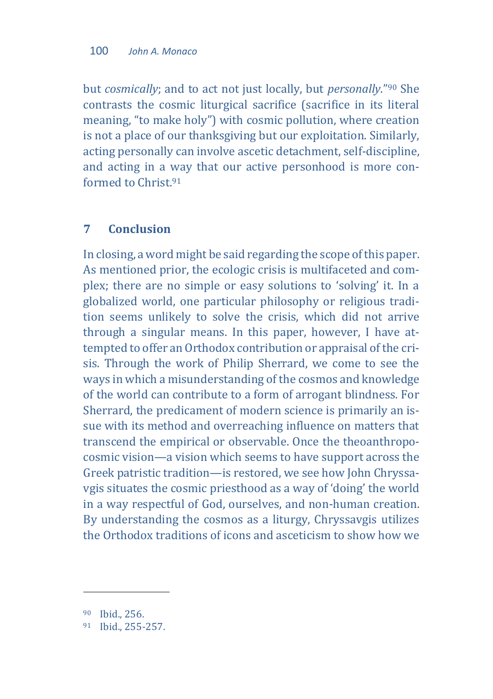but *cosmically*; and to act not just locally, but *personally*."<sup>90</sup> She contrasts the cosmic liturgical sacrifice (sacrifice in its literal meaning, "to make holy") with cosmic pollution, where creation is not a place of our thanksgiving but our exploitation. Similarly, acting personally can involve ascetic detachment, self-discipline, and acting in a way that our active personhood is more conformed to Christ<sup>91</sup>

#### **7 Conclusion**

In closing, a word might be said regarding the scope of this paper. As mentioned prior, the ecologic crisis is multifaceted and complex; there are no simple or easy solutions to 'solving' it. In a globalized world, one particular philosophy or religious tradition seems unlikely to solve the crisis, which did not arrive through a singular means. In this paper, however, I have attempted to offer an Orthodox contribution or appraisal of the crisis. Through the work of Philip Sherrard, we come to see the ways in which a misunderstanding of the cosmos and knowledge of the world can contribute to a form of arrogant blindness. For Sherrard, the predicament of modern science is primarily an issue with its method and overreaching influence on matters that transcend the empirical or observable. Once the theoanthropocosmic vision—a vision which seems to have support across the Greek patristic tradition—is restored, we see how John Chryssavgis situates the cosmic priesthood as a way of 'doing' the world in a way respectful of God, ourselves, and non-human creation. By understanding the cosmos as a liturgy, Chryssavgis utilizes the Orthodox traditions of icons and asceticism to show how we

<sup>90</sup> Ibid., 256.

<sup>91</sup> Ibid., 255-257.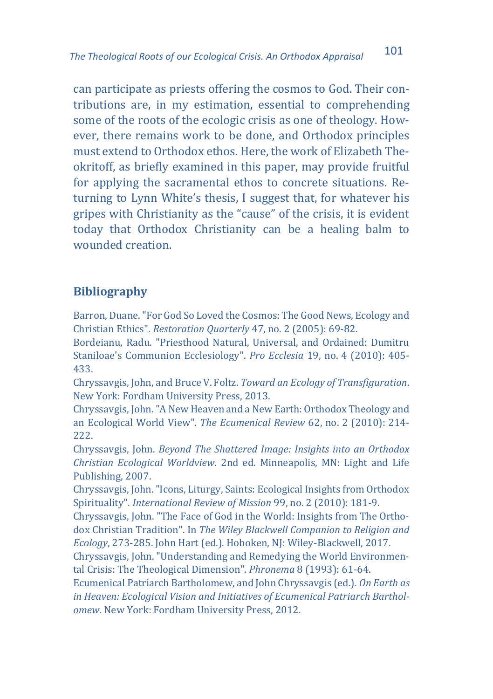can participate as priests offering the cosmos to God. Their contributions are, in my estimation, essential to comprehending some of the roots of the ecologic crisis as one of theology. However, there remains work to be done, and Orthodox principles must extend to Orthodox ethos. Here, the work of Elizabeth Theokritoff, as briefly examined in this paper, may provide fruitful for applying the sacramental ethos to concrete situations. Returning to Lynn White's thesis, I suggest that, for whatever his gripes with Christianity as the "cause" of the crisis, it is evident today that Orthodox Christianity can be a healing balm to wounded creation.

## **Bibliography**

Barron, Duane. "For God So Loved the Cosmos: The Good News, Ecology and Christian Ethics". *Restoration Quarterly* 47, no. 2 (2005): 69-82.

Bordeianu, Radu. "Priesthood Natural, Universal, and Ordained: Dumitru Staniloae's Communion Ecclesiology". *Pro Ecclesia* 19, no. 4 (2010): 405- 433.

Chryssavgis, John, and Bruce V. Foltz. *Toward an Ecology of Transfiguration*. New York: Fordham University Press, 2013.

Chryssavgis, John. "A New Heaven and a New Earth: Orthodox Theology and an Ecological World View". *The Ecumenical Review* 62, no. 2 (2010): 214- 222.

Chryssavgis, John. *Beyond The Shattered Image: Insights into an Orthodox Christian Ecological Worldview*. 2nd ed. Minneapolis, MN: Light and Life Publishing, 2007.

Chryssavgis, John. "Icons, Liturgy, Saints: Ecological Insights from Orthodox Spirituality". *International Review of Mission* 99, no. 2 (2010): 181-9.

Chryssavgis, John. "The Face of God in the World: Insights from The Orthodox Christian Tradition". In *The Wiley Blackwell Companion to Religion and Ecology*, 273-285. John Hart (ed.). Hoboken, NJ: Wiley-Blackwell, 2017.

Chryssavgis, John. "Understanding and Remedying the World Environmental Crisis: The Theological Dimension". *Phronema* 8 (1993): 61-64.

Ecumenical Patriarch Bartholomew, and John Chryssavgis (ed.). *On Earth as in Heaven: Ecological Vision and Initiatives of Ecumenical Patriarch Bartholomew*. New York: Fordham University Press, 2012.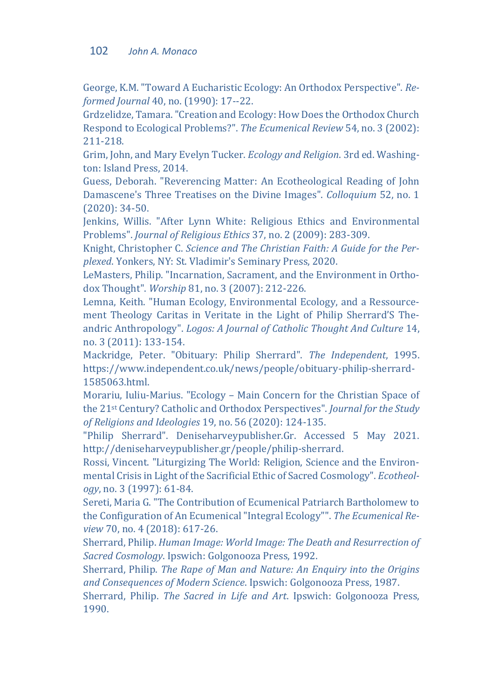#### 102 *John A. Monaco*

George, K.M. "Toward A Eucharistic Ecology: An Orthodox Perspective". *Reformed Journal* 40, no. (1990): 17--22.

Grdzelidze, Tamara. "Creation and Ecology: How Does the Orthodox Church Respond to Ecological Problems?". *The Ecumenical Review* 54, no. 3 (2002): 211-218.

Grim, John, and Mary Evelyn Tucker. *Ecology and Religion*. 3rd ed. Washington: Island Press, 2014.

Guess, Deborah. "Reverencing Matter: An Ecotheological Reading of John Damascene's Three Treatises on the Divine Images". *Colloquium* 52, no. 1 (2020): 34-50.

Jenkins, Willis. "After Lynn White: Religious Ethics and Environmental Problems". *Journal of Religious Ethics* 37, no. 2 (2009): 283-309.

Knight, Christopher C. *Science and The Christian Faith: A Guide for the Perplexed*. Yonkers, NY: St. Vladimir's Seminary Press, 2020.

LeMasters, Philip. "Incarnation, Sacrament, and the Environment in Orthodox Thought". *Worship* 81, no. 3 (2007): 212-226.

Lemna, Keith. "Human Ecology, Environmental Ecology, and a Ressourcement Theology Caritas in Veritate in the Light of Philip Sherrard'S Theandric Anthropology". *Logos: A Journal of Catholic Thought And Culture* 14, no. 3 (2011): 133-154.

Mackridge, Peter. "Obituary: Philip Sherrard". *The Independent*, 1995. https://www.independent.co.uk/news/people/obituary-philip-sherrard-1585063.html.

Morariu, Iuliu-Marius. "Ecology – Main Concern for the Christian Space of the 21st Century? Catholic and Orthodox Perspectives". *Journal for the Study of Religions and Ideologies* 19, no. 56 (2020): 124-135.

"Philip Sherrard". Deniseharveypublisher.Gr. Accessed 5 May 2021. http://deniseharveypublisher.gr/people/philip-sherrard.

Rossi, Vincent. "Liturgizing The World: Religion, Science and the Environmental Crisis in Light of the Sacrificial Ethic of Sacred Cosmology". *Ecotheology*, no. 3 (1997): 61-84.

Sereti, Maria G. "The Contribution of Ecumenical Patriarch Bartholomew to the Configuration of An Ecumenical "Integral Ecology"". *The Ecumenical Review* 70, no. 4 (2018): 617-26.

Sherrard, Philip. *Human Image: World Image: The Death and Resurrection of Sacred Cosmology*. Ipswich: Golgonooza Press, 1992.

Sherrard, Philip. *The Rape of Man and Nature: An Enquiry into the Origins and Consequences of Modern Science*. Ipswich: Golgonooza Press, 1987.

Sherrard, Philip. *The Sacred in Life and Art*. Ipswich: Golgonooza Press, 1990.